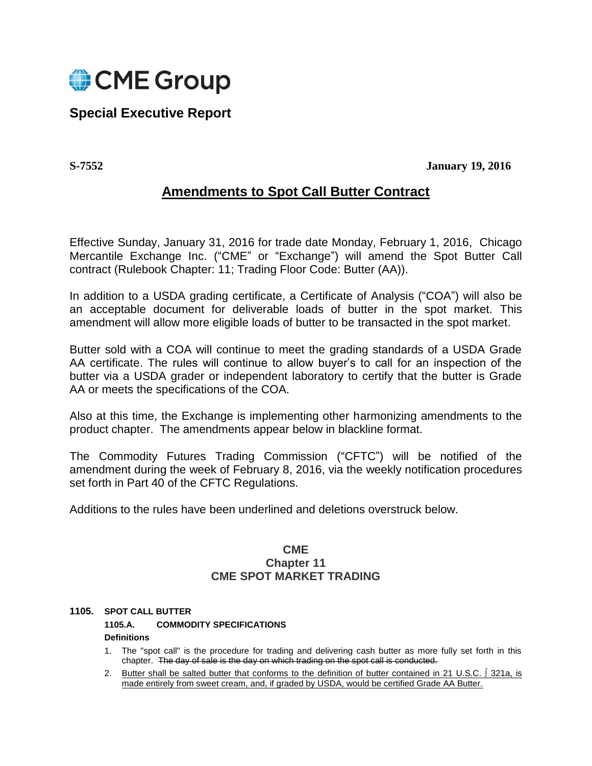

# **Special Executive Report**

**S-7552 January 19, 2016**

# **Amendments to Spot Call Butter Contract**

Effective Sunday, January 31, 2016 for trade date Monday, February 1, 2016, Chicago Mercantile Exchange Inc. ("CME" or "Exchange") will amend the Spot Butter Call contract (Rulebook Chapter: 11; Trading Floor Code: Butter (AA)).

In addition to a USDA grading certificate, a Certificate of Analysis ("COA") will also be an acceptable document for deliverable loads of butter in the spot market. This amendment will allow more eligible loads of butter to be transacted in the spot market.

Butter sold with a COA will continue to meet the grading standards of a USDA Grade AA certificate. The rules will continue to allow buyer's to call for an inspection of the butter via a USDA grader or independent laboratory to certify that the butter is Grade AA or meets the specifications of the COA.

Also at this time, the Exchange is implementing other harmonizing amendments to the product chapter. The amendments appear below in blackline format.

The Commodity Futures Trading Commission ("CFTC") will be notified of the amendment during the week of February 8, 2016, via the weekly notification procedures set forth in Part 40 of the CFTC Regulations.

Additions to the rules have been underlined and deletions overstruck below.

# **CME Chapter 11 CME SPOT MARKET TRADING**

# **1105. SPOT CALL BUTTER**

**1105.A. COMMODITY SPECIFICATIONS**

**Definitions** 

- 1. The "spot call" is the procedure for trading and delivering cash butter as more fully set forth in this chapter. The day of sale is the day on which trading on the spot call is conducted.
- 2. Butter shall be salted butter that conforms to the definition of butter contained in 21 U.S.C. ∫ 321a, is made entirely from sweet cream, and, if graded by USDA, would be certified Grade AA Butter.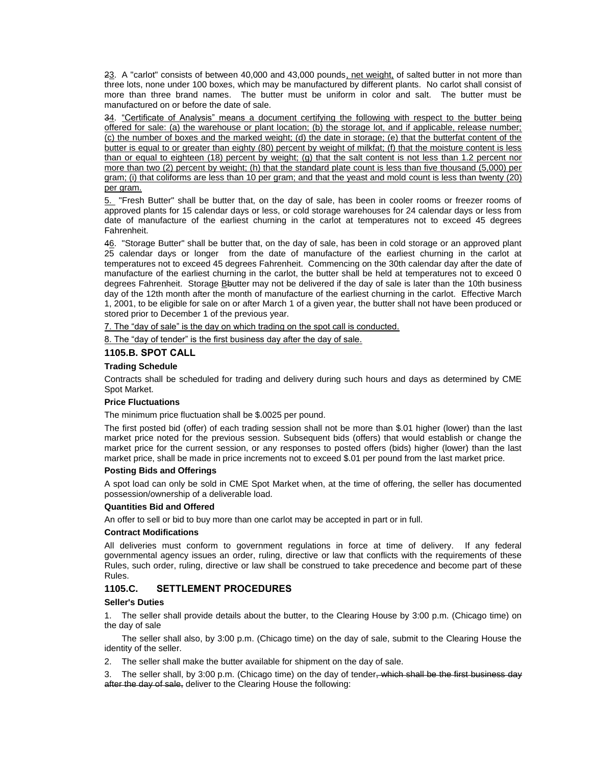23. A "carlot" consists of between 40,000 and 43,000 pounds, net weight, of salted butter in not more than three lots, none under 100 boxes, which may be manufactured by different plants. No carlot shall consist of more than three brand names. The butter must be uniform in color and salt. The butter must be manufactured on or before the date of sale.

34. "Certificate of Analysis" means a document certifying the following with respect to the butter being offered for sale: (a) the warehouse or plant location; (b) the storage lot, and if applicable, release number; (c) the number of boxes and the marked weight; (d) the date in storage; (e) that the butterfat content of the butter is equal to or greater than eighty (80) percent by weight of milkfat; (f) that the moisture content is less than or equal to eighteen (18) percent by weight; (g) that the salt content is not less than 1.2 percent nor more than two (2) percent by weight; (h) that the standard plate count is less than five thousand (5,000) per gram; (i) that coliforms are less than 10 per gram; and that the yeast and mold count is less than twenty (20) per gram.

5. "Fresh Butter" shall be butter that, on the day of sale, has been in cooler rooms or freezer rooms of approved plants for 15 calendar days or less, or cold storage warehouses for 24 calendar days or less from date of manufacture of the earliest churning in the carlot at temperatures not to exceed 45 degrees Fahrenheit.

46. "Storage Butter" shall be butter that, on the day of sale, has been in cold storage or an approved plant 25 calendar days or longer from the date of manufacture of the earliest churning in the carlot at temperatures not to exceed 45 degrees Fahrenheit. Commencing on the 30th calendar day after the date of manufacture of the earliest churning in the carlot, the butter shall be held at temperatures not to exceed 0 degrees Fahrenheit. Storage Bbutter may not be delivered if the day of sale is later than the 10th business day of the 12th month after the month of manufacture of the earliest churning in the carlot. Effective March 1, 2001, to be eligible for sale on or after March 1 of a given year, the butter shall not have been produced or stored prior to December 1 of the previous year.

7. The "day of sale" is the day on which trading on the spot call is conducted.

8. The "day of tender" is the first business day after the day of sale.

# **1105.B. SPOT CALL**

#### **Trading Schedule**

Contracts shall be scheduled for trading and delivery during such hours and days as determined by CME Spot Market.

# **Price Fluctuations**

The minimum price fluctuation shall be \$.0025 per pound.

The first posted bid (offer) of each trading session shall not be more than \$.01 higher (lower) than the last market price noted for the previous session. Subsequent bids (offers) that would establish or change the market price for the current session, or any responses to posted offers (bids) higher (lower) than the last market price, shall be made in price increments not to exceed \$.01 per pound from the last market price.

#### **Posting Bids and Offerings**

A spot load can only be sold in CME Spot Market when, at the time of offering, the seller has documented possession/ownership of a deliverable load.

#### **Quantities Bid and Offered**

An offer to sell or bid to buy more than one carlot may be accepted in part or in full.

#### **Contract Modifications**

All deliveries must conform to government regulations in force at time of delivery. If any federal governmental agency issues an order, ruling, directive or law that conflicts with the requirements of these Rules, such order, ruling, directive or law shall be construed to take precedence and become part of these Rules.

# **1105.C. SETTLEMENT PROCEDURES**

#### **Seller's Duties**

1. The seller shall provide details about the butter, to the Clearing House by 3:00 p.m. (Chicago time) on the day of sale

The seller shall also, by 3:00 p.m. (Chicago time) on the day of sale, submit to the Clearing House the identity of the seller.

2. The seller shall make the butter available for shipment on the day of sale.

3. The seller shall, by 3:00 p.m. (Chicago time) on the day of tender<del>, which shall be the first business day</del> after the day of sale, deliver to the Clearing House the following: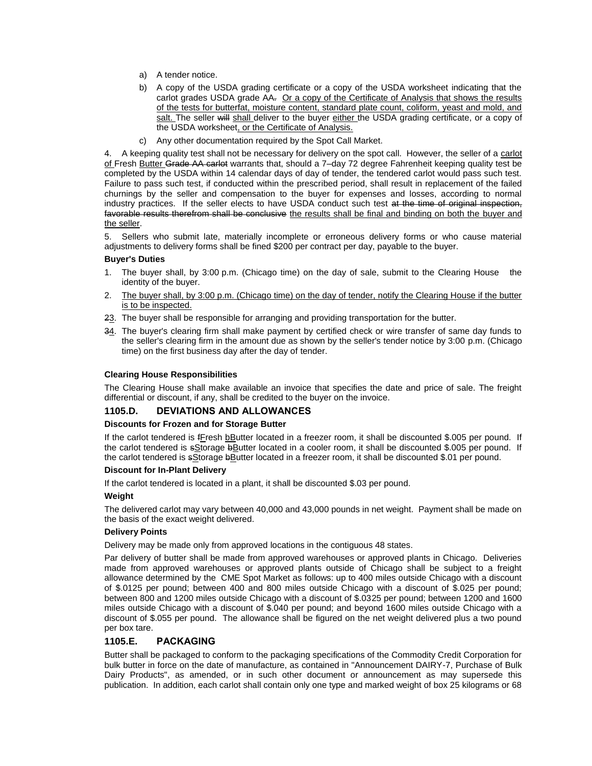- a) A tender notice.
- b) A copy of the USDA grading certificate or a copy of the USDA worksheet indicating that the carlot grades USDA grade AA. Or a copy of the Certificate of Analysis that shows the results of the tests for butterfat, moisture content, standard plate count, coliform, yeast and mold, and salt. The seller will shall deliver to the buyer either the USDA grading certificate, or a copy of the USDA worksheet, or the Certificate of Analysis.
- c) Any other documentation required by the Spot Call Market.

4. A keeping quality test shall not be necessary for delivery on the spot call. However, the seller of a carlot of Fresh Butter Grade AA carlot warrants that, should a 7-day 72 degree Fahrenheit keeping quality test be completed by the USDA within 14 calendar days of day of tender, the tendered carlot would pass such test. Failure to pass such test, if conducted within the prescribed period, shall result in replacement of the failed churnings by the seller and compensation to the buyer for expenses and losses, according to normal industry practices. If the seller elects to have USDA conduct such test at the time of original inspection, favorable results therefrom shall be conclusive the results shall be final and binding on both the buyer and the seller.

5. Sellers who submit late, materially incomplete or erroneous delivery forms or who cause material adjustments to delivery forms shall be fined \$200 per contract per day, payable to the buyer.

#### **Buyer's Duties**

- 1. The buyer shall, by 3:00 p.m. (Chicago time) on the day of sale, submit to the Clearing House the identity of the buyer.
- 2. The buyer shall, by 3:00 p.m. (Chicago time) on the day of tender, notify the Clearing House if the butter is to be inspected.
- 23. The buyer shall be responsible for arranging and providing transportation for the butter.
- 34. The buyer's clearing firm shall make payment by certified check or wire transfer of same day funds to the seller's clearing firm in the amount due as shown by the seller's tender notice by 3:00 p.m. (Chicago time) on the first business day after the day of tender.

#### **Clearing House Responsibilities**

The Clearing House shall make available an invoice that specifies the date and price of sale. The freight differential or discount, if any, shall be credited to the buyer on the invoice.

# **1105.D. DEVIATIONS AND ALLOWANCES**

#### **Discounts for Frozen and for Storage Butter**

If the carlot tendered is fFresh bButter located in a freezer room, it shall be discounted \$.005 per pound. If the carlot tendered is sStorage bButter located in a cooler room, it shall be discounted \$.005 per pound. If the carlot tendered is sStorage bButter located in a freezer room, it shall be discounted \$.01 per pound.

#### **Discount for In-Plant Delivery**

If the carlot tendered is located in a plant, it shall be discounted \$.03 per pound.

#### **Weight**

The delivered carlot may vary between 40,000 and 43,000 pounds in net weight. Payment shall be made on the basis of the exact weight delivered.

# **Delivery Points**

Delivery may be made only from approved locations in the contiguous 48 states.

Par delivery of butter shall be made from approved warehouses or approved plants in Chicago. Deliveries made from approved warehouses or approved plants outside of Chicago shall be subject to a freight allowance determined by the CME Spot Market as follows: up to 400 miles outside Chicago with a discount of \$.0125 per pound; between 400 and 800 miles outside Chicago with a discount of \$.025 per pound; between 800 and 1200 miles outside Chicago with a discount of \$.0325 per pound; between 1200 and 1600 miles outside Chicago with a discount of \$.040 per pound; and beyond 1600 miles outside Chicago with a discount of \$.055 per pound. The allowance shall be figured on the net weight delivered plus a two pound per box tare.

# **1105.E. PACKAGING**

Butter shall be packaged to conform to the packaging specifications of the Commodity Credit Corporation for bulk butter in force on the date of manufacture, as contained in "Announcement DAIRY-7, Purchase of Bulk Dairy Products", as amended, or in such other document or announcement as may supersede this publication. In addition, each carlot shall contain only one type and marked weight of box 25 kilograms or 68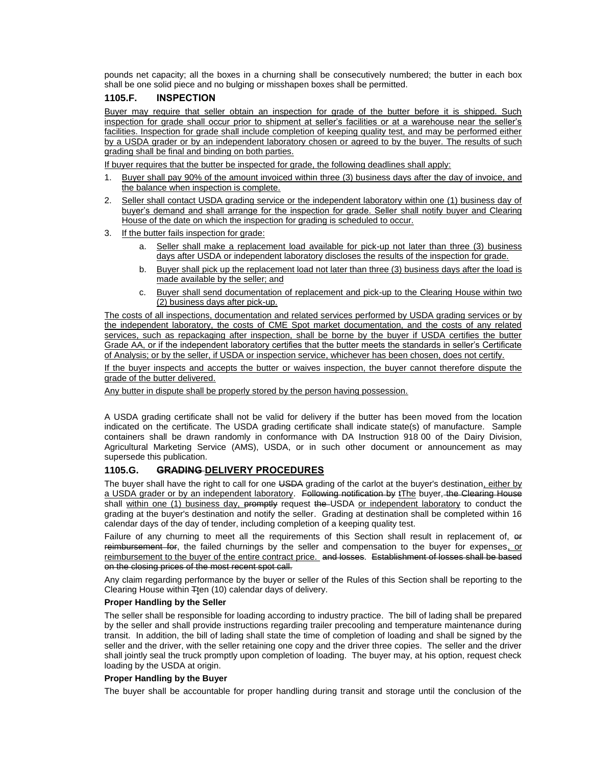pounds net capacity; all the boxes in a churning shall be consecutively numbered; the butter in each box shall be one solid piece and no bulging or misshapen boxes shall be permitted.

# **1105.F. INSPECTION**

Buyer may require that seller obtain an inspection for grade of the butter before it is shipped. Such inspection for grade shall occur prior to shipment at seller's facilities or at a warehouse near the seller's facilities. Inspection for grade shall include completion of keeping quality test, and may be performed either by a USDA grader or by an independent laboratory chosen or agreed to by the buyer. The results of such grading shall be final and binding on both parties.

If buyer requires that the butter be inspected for grade, the following deadlines shall apply:

- 1. Buyer shall pay 90% of the amount invoiced within three (3) business days after the day of invoice, and the balance when inspection is complete.
- 2. Seller shall contact USDA grading service or the independent laboratory within one (1) business day of buyer's demand and shall arrange for the inspection for grade. Seller shall notify buyer and Clearing House of the date on which the inspection for grading is scheduled to occur.
- 3. If the butter fails inspection for grade:
	- a. Seller shall make a replacement load available for pick-up not later than three (3) business days after USDA or independent laboratory discloses the results of the inspection for grade.
	- b. Buyer shall pick up the replacement load not later than three (3) business days after the load is made available by the seller; and
	- c. Buyer shall send documentation of replacement and pick-up to the Clearing House within two (2) business days after pick-up.

The costs of all inspections, documentation and related services performed by USDA grading services or by the independent laboratory, the costs of CME Spot market documentation, and the costs of any related services, such as repackaging after inspection, shall be borne by the buyer if USDA certifies the butter Grade AA, or if the independent laboratory certifies that the butter meets the standards in seller's Certificate of Analysis; or by the seller, if USDA or inspection service, whichever has been chosen, does not certify.

If the buyer inspects and accepts the butter or waives inspection, the buyer cannot therefore dispute the grade of the butter delivered.

Any butter in dispute shall be properly stored by the person having possession.

A USDA grading certificate shall not be valid for delivery if the butter has been moved from the location indicated on the certificate. The USDA grading certificate shall indicate state(s) of manufacture. Sample containers shall be drawn randomly in conformance with DA Instruction 918 00 of the Dairy Division, Agricultural Marketing Service (AMS), USDA, or in such other document or announcement as may supersede this publication.

# **1105.G. GRADING DELIVERY PROCEDURES**

The buyer shall have the right to call for one USDA grading of the carlot at the buyer's destination, either by a USDA grader or by an independent laboratory. Following notification by tThe buyer, the Clearing House shall within one (1) business day, promptly request the USDA or independent laboratory to conduct the grading at the buyer's destination and notify the seller. Grading at destination shall be completed within 16 calendar days of the day of tender, including completion of a keeping quality test.

Failure of any churning to meet all the requirements of this Section shall result in replacement of, or reimbursement for, the failed churnings by the seller and compensation to the buyer for expenses, or reimbursement to the buyer of the entire contract price. and losses. Establishment of losses shall be based on the closing prices of the most recent spot call.

Any claim regarding performance by the buyer or seller of the Rules of this Section shall be reporting to the Clearing House within Tten (10) calendar days of delivery.

# **Proper Handling by the Seller**

The seller shall be responsible for loading according to industry practice. The bill of lading shall be prepared by the seller and shall provide instructions regarding trailer precooling and temperature maintenance during transit. In addition, the bill of lading shall state the time of completion of loading and shall be signed by the seller and the driver, with the seller retaining one copy and the driver three copies. The seller and the driver shall jointly seal the truck promptly upon completion of loading. The buyer may, at his option, request check loading by the USDA at origin.

# **Proper Handling by the Buyer**

The buyer shall be accountable for proper handling during transit and storage until the conclusion of the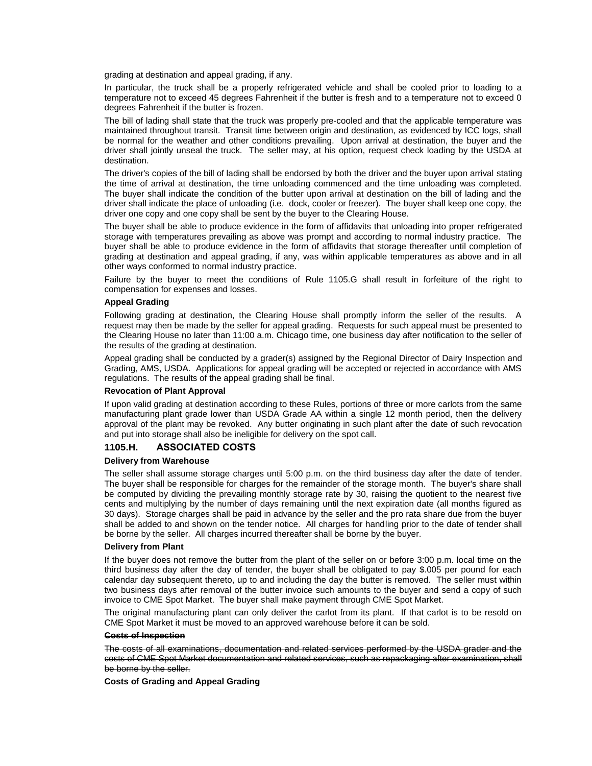grading at destination and appeal grading, if any.

In particular, the truck shall be a properly refrigerated vehicle and shall be cooled prior to loading to a temperature not to exceed 45 degrees Fahrenheit if the butter is fresh and to a temperature not to exceed 0 degrees Fahrenheit if the butter is frozen.

The bill of lading shall state that the truck was properly pre-cooled and that the applicable temperature was maintained throughout transit. Transit time between origin and destination, as evidenced by ICC logs, shall be normal for the weather and other conditions prevailing. Upon arrival at destination, the buyer and the driver shall jointly unseal the truck. The seller may, at his option, request check loading by the USDA at destination.

The driver's copies of the bill of lading shall be endorsed by both the driver and the buyer upon arrival stating the time of arrival at destination, the time unloading commenced and the time unloading was completed. The buyer shall indicate the condition of the butter upon arrival at destination on the bill of lading and the driver shall indicate the place of unloading (i.e. dock, cooler or freezer). The buyer shall keep one copy, the driver one copy and one copy shall be sent by the buyer to the Clearing House.

The buyer shall be able to produce evidence in the form of affidavits that unloading into proper refrigerated storage with temperatures prevailing as above was prompt and according to normal industry practice. The buyer shall be able to produce evidence in the form of affidavits that storage thereafter until completion of grading at destination and appeal grading, if any, was within applicable temperatures as above and in all other ways conformed to normal industry practice.

Failure by the buyer to meet the conditions of Rule 1105.G shall result in forfeiture of the right to compensation for expenses and losses.

### **Appeal Grading**

Following grading at destination, the Clearing House shall promptly inform the seller of the results. A request may then be made by the seller for appeal grading. Requests for such appeal must be presented to the Clearing House no later than 11:00 a.m. Chicago time, one business day after notification to the seller of the results of the grading at destination.

Appeal grading shall be conducted by a grader(s) assigned by the Regional Director of Dairy Inspection and Grading, AMS, USDA. Applications for appeal grading will be accepted or rejected in accordance with AMS regulations. The results of the appeal grading shall be final.

#### **Revocation of Plant Approval**

If upon valid grading at destination according to these Rules, portions of three or more carlots from the same manufacturing plant grade lower than USDA Grade AA within a single 12 month period, then the delivery approval of the plant may be revoked. Any butter originating in such plant after the date of such revocation and put into storage shall also be ineligible for delivery on the spot call.

# **1105.H. ASSOCIATED COSTS**

#### **Delivery from Warehouse**

The seller shall assume storage charges until 5:00 p.m. on the third business day after the date of tender. The buyer shall be responsible for charges for the remainder of the storage month. The buyer's share shall be computed by dividing the prevailing monthly storage rate by 30, raising the quotient to the nearest five cents and multiplying by the number of days remaining until the next expiration date (all months figured as 30 days). Storage charges shall be paid in advance by the seller and the pro rata share due from the buyer shall be added to and shown on the tender notice. All charges for handling prior to the date of tender shall be borne by the seller. All charges incurred thereafter shall be borne by the buyer.

#### **Delivery from Plant**

If the buyer does not remove the butter from the plant of the seller on or before 3:00 p.m. local time on the third business day after the day of tender, the buyer shall be obligated to pay \$.005 per pound for each calendar day subsequent thereto, up to and including the day the butter is removed. The seller must within two business days after removal of the butter invoice such amounts to the buyer and send a copy of such invoice to CME Spot Market. The buyer shall make payment through CME Spot Market.

The original manufacturing plant can only deliver the carlot from its plant. If that carlot is to be resold on CME Spot Market it must be moved to an approved warehouse before it can be sold.

#### **Costs of Inspection**

The costs of all examinations, documentation and related services performed by the USDA grader and the costs of CME Spot Market documentation and related services, such as repackaging after examination, shall be borne by the seller.

**Costs of Grading and Appeal Grading**